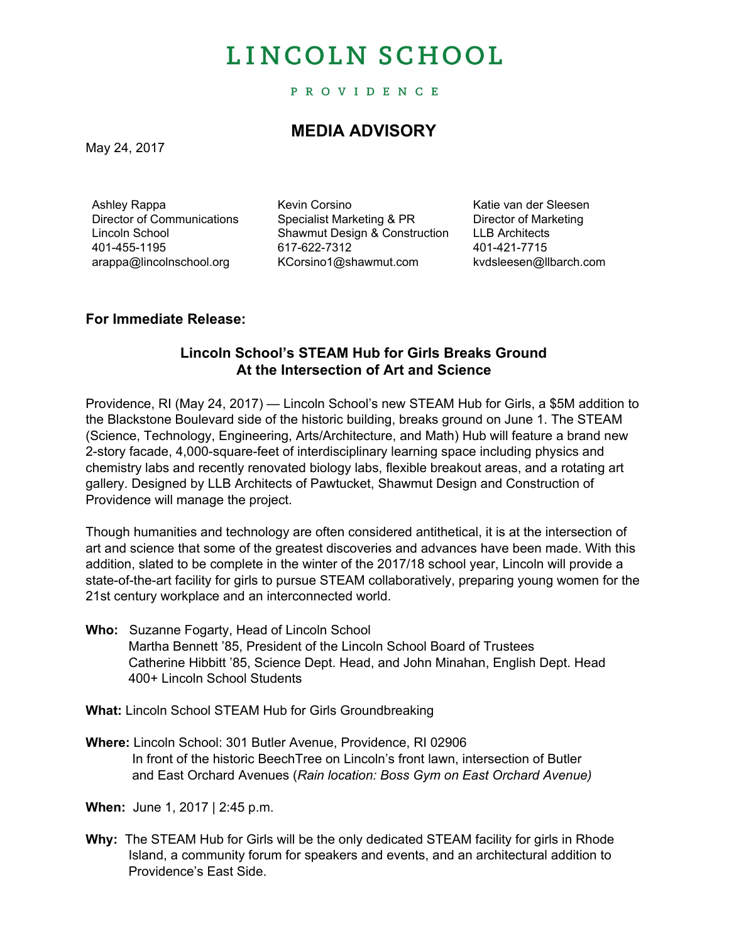# LINCOLN SCHOOL

#### **PROVIDENCE**

# **MEDIA ADVISORY**

May 24, 2017

Ashley Rappa Director of Communications Lincoln School 401-455-1195 [arappa@lincolnschool.org](mailto:arappa@lincolnschool.org)

Kevin Corsino Specialist Marketing & PR Shawmut Design & Construction 617-622-7312 KCorsino1@shawmut.com

Katie van der Sleesen Director of Marketing LLB Architects 401-421-7715 kvdsleesen@llbarch.com

### **For Immediate Release:**

## **Lincoln School's STEAM Hub for Girls Breaks Ground At the Intersection of Art and Science**

Providence, RI (May 24, 2017) — Lincoln School's new STEAM Hub for Girls, a \$5M addition to the Blackstone Boulevard side of the historic building, breaks ground on June 1. The STEAM (Science, Technology, Engineering, Arts/Architecture, and Math) Hub will feature a brand new 2-story facade, 4,000-square-feet of interdisciplinary learning space including physics and chemistry labs and recently renovated biology labs, flexible breakout areas, and a rotating art gallery. Designed by LLB Architects of Pawtucket, Shawmut Design and Construction of Providence will manage the project.

Though humanities and technology are often considered antithetical, it is at the intersection of art and science that some of the greatest discoveries and advances have been made. With this addition, slated to be complete in the winter of the 2017/18 school year, Lincoln will provide a state-of-the-art facility for girls to pursue STEAM collaboratively, preparing young women for the 21st century workplace and an interconnected world.

- **Who:** Suzanne Fogarty, Head of Lincoln School Martha Bennett '85, President of the Lincoln School Board of Trustees Catherine Hibbitt '85, Science Dept. Head, and John Minahan, English Dept. Head 400+ Lincoln School Students
- **What:** Lincoln School STEAM Hub for Girls Groundbreaking
- **Where:** Lincoln School: 301 Butler Avenue, Providence, RI 02906 In front of the historic BeechTree on Lincoln's front lawn, intersection of Butler and East Orchard Avenues (*Rain location: Boss Gym on East Orchard Avenue)*

**When:** June 1, 2017 | 2:45 p.m.

**Why:** The STEAM Hub for Girls will be the only dedicated STEAM facility for girls in Rhode Island, a community forum for speakers and events, and an architectural addition to Providence's East Side.